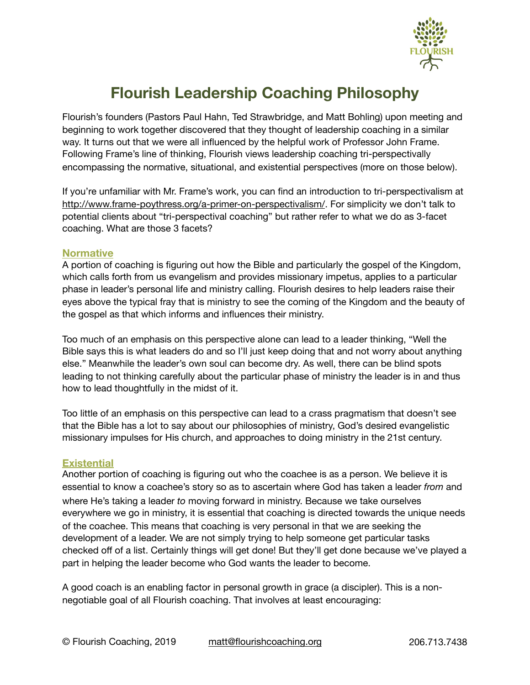

# **Flourish Leadership Coaching Philosophy**

Flourish's founders (Pastors Paul Hahn, Ted Strawbridge, and Matt Bohling) upon meeting and beginning to work together discovered that they thought of leadership coaching in a similar way. It turns out that we were all influenced by the helpful work of Professor John Frame. Following Frame's line of thinking, Flourish views leadership coaching tri-perspectivally encompassing the normative, situational, and existential perspectives (more on those below).

If you're unfamiliar with Mr. Frame's work, you can find an introduction to tri-perspectivalism at [http://www.frame-poythress.org/a-primer-on-perspectivalism/.](http://www.frame-poythress.org/a-primer-on-perspectivalism/) For simplicity we don't talk to potential clients about "tri-perspectival coaching" but rather refer to what we do as 3-facet coaching. What are those 3 facets?

### **Normative**

A portion of coaching is figuring out how the Bible and particularly the gospel of the Kingdom, which calls forth from us evangelism and provides missionary impetus, applies to a particular phase in leader's personal life and ministry calling. Flourish desires to help leaders raise their eyes above the typical fray that is ministry to see the coming of the Kingdom and the beauty of the gospel as that which informs and influences their ministry.

Too much of an emphasis on this perspective alone can lead to a leader thinking, "Well the Bible says this is what leaders do and so I'll just keep doing that and not worry about anything else." Meanwhile the leader's own soul can become dry. As well, there can be blind spots leading to not thinking carefully about the particular phase of ministry the leader is in and thus how to lead thoughtfully in the midst of it.

Too little of an emphasis on this perspective can lead to a crass pragmatism that doesn't see that the Bible has a lot to say about our philosophies of ministry, God's desired evangelistic missionary impulses for His church, and approaches to doing ministry in the 21st century.

### **Existential**

Another portion of coaching is figuring out who the coachee is as a person. We believe it is essential to know a coachee's story so as to ascertain where God has taken a leader *from* and where He's taking a leader *to* moving forward in ministry. Because we take ourselves everywhere we go in ministry, it is essential that coaching is directed towards the unique needs of the coachee. This means that coaching is very personal in that we are seeking the development of a leader. We are not simply trying to help someone get particular tasks checked off of a list. Certainly things will get done! But they'll get done because we've played a part in helping the leader become who God wants the leader to become.

A good coach is an enabling factor in personal growth in grace (a discipler). This is a nonnegotiable goal of all Flourish coaching. That involves at least encouraging: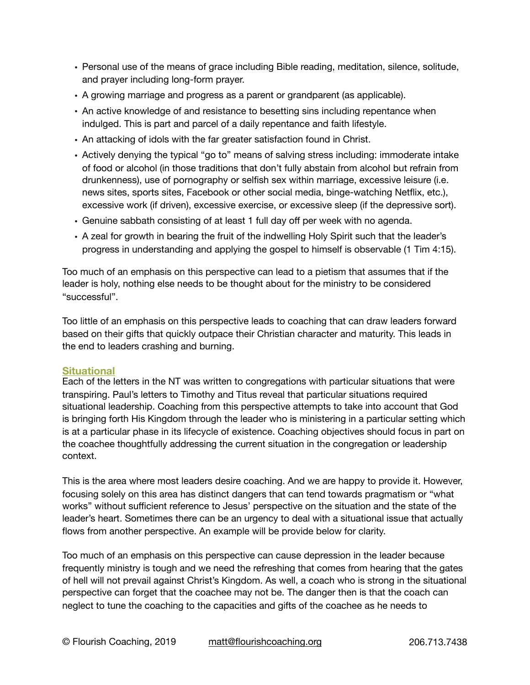- Personal use of the means of grace including Bible reading, meditation, silence, solitude, and prayer including long-form prayer.
- A growing marriage and progress as a parent or grandparent (as applicable).
- An active knowledge of and resistance to besetting sins including repentance when indulged. This is part and parcel of a daily repentance and faith lifestyle.
- An attacking of idols with the far greater satisfaction found in Christ.
- Actively denying the typical "go to" means of salving stress including: immoderate intake of food or alcohol (in those traditions that don't fully abstain from alcohol but refrain from drunkenness), use of pornography or selfish sex within marriage, excessive leisure (i.e. news sites, sports sites, Facebook or other social media, binge-watching Netflix, etc.), excessive work (if driven), excessive exercise, or excessive sleep (if the depressive sort).
- Genuine sabbath consisting of at least 1 full day off per week with no agenda.
- A zeal for growth in bearing the fruit of the indwelling Holy Spirit such that the leader's progress in understanding and applying the gospel to himself is observable (1 Tim 4:15).

Too much of an emphasis on this perspective can lead to a pietism that assumes that if the leader is holy, nothing else needs to be thought about for the ministry to be considered "successful".

Too little of an emphasis on this perspective leads to coaching that can draw leaders forward based on their gifts that quickly outpace their Christian character and maturity. This leads in the end to leaders crashing and burning.

# **Situational**

Each of the letters in the NT was written to congregations with particular situations that were transpiring. Paul's letters to Timothy and Titus reveal that particular situations required situational leadership. Coaching from this perspective attempts to take into account that God is bringing forth His Kingdom through the leader who is ministering in a particular setting which is at a particular phase in its lifecycle of existence. Coaching objectives should focus in part on the coachee thoughtfully addressing the current situation in the congregation or leadership context.

This is the area where most leaders desire coaching. And we are happy to provide it. However, focusing solely on this area has distinct dangers that can tend towards pragmatism or "what works" without sufficient reference to Jesus' perspective on the situation and the state of the leader's heart. Sometimes there can be an urgency to deal with a situational issue that actually flows from another perspective. An example will be provide below for clarity.

Too much of an emphasis on this perspective can cause depression in the leader because frequently ministry is tough and we need the refreshing that comes from hearing that the gates of hell will not prevail against Christ's Kingdom. As well, a coach who is strong in the situational perspective can forget that the coachee may not be. The danger then is that the coach can neglect to tune the coaching to the capacities and gifts of the coachee as he needs to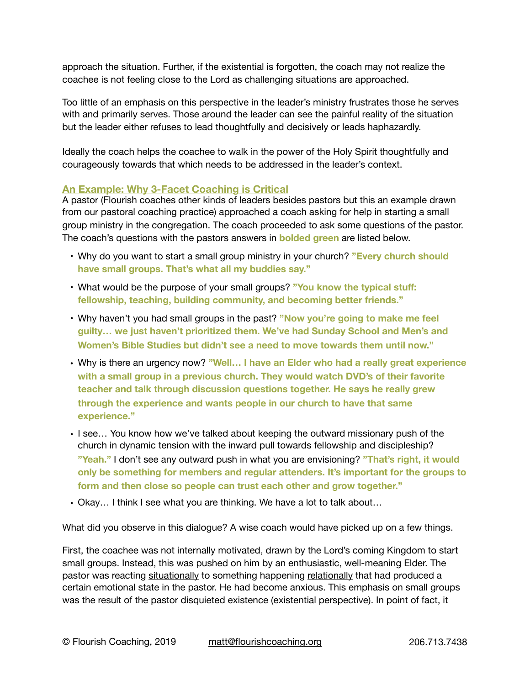approach the situation. Further, if the existential is forgotten, the coach may not realize the coachee is not feeling close to the Lord as challenging situations are approached.

Too little of an emphasis on this perspective in the leader's ministry frustrates those he serves with and primarily serves. Those around the leader can see the painful reality of the situation but the leader either refuses to lead thoughtfully and decisively or leads haphazardly.

Ideally the coach helps the coachee to walk in the power of the Holy Spirit thoughtfully and courageously towards that which needs to be addressed in the leader's context.

# **An Example: Why 3-Facet Coaching is Critical**

A pastor (Flourish coaches other kinds of leaders besides pastors but this an example drawn from our pastoral coaching practice) approached a coach asking for help in starting a small group ministry in the congregation. The coach proceeded to ask some questions of the pastor. The coach's questions with the pastors answers in **bolded green** are listed below.

- Why do you want to start a small group ministry in your church? **"Every church should have small groups. That's what all my buddies say."**
- What would be the purpose of your small groups? **"You know the typical stuff: fellowship, teaching, building community, and becoming better friends."**
- Why haven't you had small groups in the past? **"Now you're going to make me feel guilty… we just haven't prioritized them. We've had Sunday School and Men's and Women's Bible Studies but didn't see a need to move towards them until now."**
- Why is there an urgency now? **"Well… I have an Elder who had a really great experience with a small group in a previous church. They would watch DVD's of their favorite teacher and talk through discussion questions together. He says he really grew through the experience and wants people in our church to have that same experience."**
- I see… You know how we've talked about keeping the outward missionary push of the church in dynamic tension with the inward pull towards fellowship and discipleship? **"Yeah."** I don't see any outward push in what you are envisioning? **"That's right, it would only be something for members and regular attenders. It's important for the groups to form and then close so people can trust each other and grow together."**
- Okay… I think I see what you are thinking. We have a lot to talk about…

What did you observe in this dialogue? A wise coach would have picked up on a few things.

First, the coachee was not internally motivated, drawn by the Lord's coming Kingdom to start small groups. Instead, this was pushed on him by an enthusiastic, well-meaning Elder. The pastor was reacting situationally to something happening relationally that had produced a certain emotional state in the pastor. He had become anxious. This emphasis on small groups was the result of the pastor disquieted existence (existential perspective). In point of fact, it